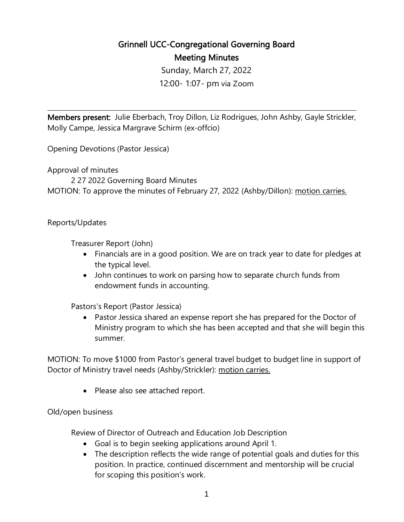## Grinnell UCC-Congregational Governing Board Meeting Minutes

Sunday, March 27, 2022 12:00- 1:07- pm via Zoom

 $\overline{a}$ 

Members present: Julie Eberbach, Troy Dillon, Liz Rodrigues, John Ashby, Gayle Strickler, Molly Campe, Jessica Margrave Schirm (ex-offcio)

Opening Devotions (Pastor Jessica)

Approval of minutes

2 27 2022 Governing Board Minutes MOTION: To approve the minutes of February 27, 2022 (Ashby/Dillon): motion carries.

Reports/Updates

Treasurer Report (John)

- Financials are in a good position. We are on track year to date for pledges at the typical level.
- John continues to work on parsing how to separate church funds from endowment funds in accounting.

Pastors's Report (Pastor Jessica)

• Pastor Jessica shared an expense report she has prepared for the Doctor of Ministry program to which she has been accepted and that she will begin this summer.

MOTION: To move \$1000 from Pastor's general travel budget to budget line in support of Doctor of Ministry travel needs (Ashby/Strickler): motion carries.

• Please also see attached report.

## Old/open business

Review of Director of Outreach and Education Job Description

- Goal is to begin seeking applications around April 1.
- The description reflects the wide range of potential goals and duties for this position. In practice, continued discernment and mentorship will be crucial for scoping this position's work.